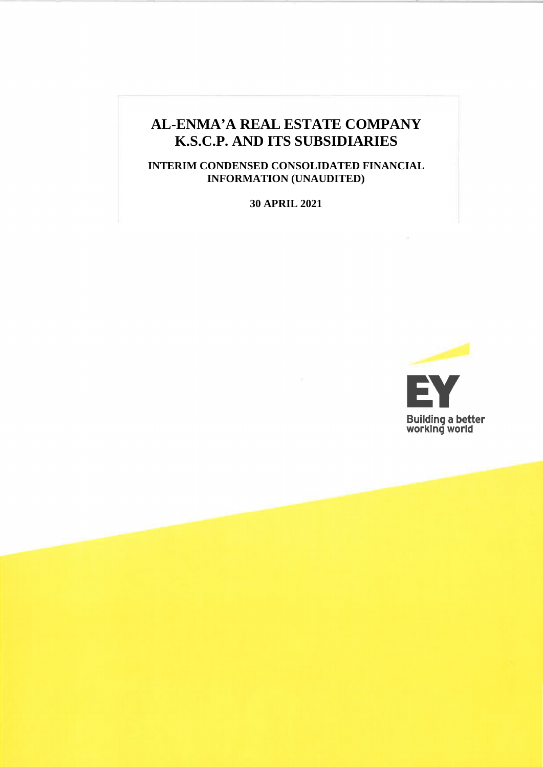## **AL-ENMA'A REAL ESTATE COMPANY K.S.C.P. AND ITS SUBSIDIARIES**

**INTERIM CONDENSED CONSOLIDATED FINANCIAL INFORMATION (UNAUDITED)**

**30 APRIL 2021**

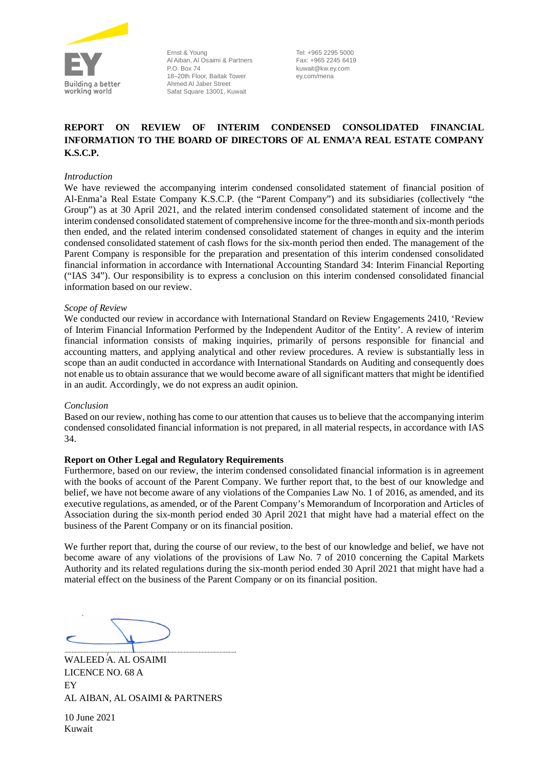

Ernst & Young Al Aiban, Al Osaimi & Partners P.O. Box 74 18–20th Floor, Baitak Tower Ahmed Al Jaber Street Safat Square 13001, Kuwait

Tel: +965 2295 5000 Fax: +965 2245 6419 kuwait@kw.ey.com ey.com/mena

### **REPORT ON REVIEW OF INTERIM CONDENSED CONSOLIDATED FINANCIAL INFORMATION TO THE BOARD OF DIRECTORS OF AL ENMA'A REAL ESTATE COMPANY K.S.C.P.**

#### *Introduction*

We have reviewed the accompanying interim condensed consolidated statement of financial position of Al-Enma'a Real Estate Company K.S.C.P. (the "Parent Company") and its subsidiaries (collectively "the Group") as at 30 April 2021, and the related interim condensed consolidated statement of income and the interim condensed consolidated statement of comprehensive income for the three-month and six-month periods then ended, and the related interim condensed consolidated statement of changes in equity and the interim condensed consolidated statement of cash flows for the six-month period then ended. The management of the Parent Company is responsible for the preparation and presentation of this interim condensed consolidated financial information in accordance with International Accounting Standard 34: Interim Financial Reporting ("IAS 34"). Our responsibility is to express a conclusion on this interim condensed consolidated financial information based on our review.

#### *Scope of Review*

We conducted our review in accordance with International Standard on Review Engagements 2410, 'Review of Interim Financial Information Performed by the Independent Auditor of the Entity'. A review of interim financial information consists of making inquiries, primarily of persons responsible for financial and accounting matters, and applying analytical and other review procedures. A review is substantially less in scope than an audit conducted in accordance with International Standards on Auditing and consequently does not enable us to obtain assurance that we would become aware of all significant matters that might be identified in an audit. Accordingly, we do not express an audit opinion.

#### *Conclusion*

Based on our review, nothing has come to our attention that causes us to believe that the accompanying interim condensed consolidated financial information is not prepared, in all material respects, in accordance with IAS 34.

#### **Report on Other Legal and Regulatory Requirements**

Furthermore, based on our review, the interim condensed consolidated financial information is in agreement with the books of account of the Parent Company. We further report that, to the best of our knowledge and belief, we have not become aware of any violations of the Companies Law No. 1 of 2016, as amended, and its executive regulations, as amended, or of the Parent Company's Memorandum of Incorporation and Articles of Association during the six-month period ended 30 April 2021 that might have had a material effect on the business of the Parent Company or on its financial position.

We further report that, during the course of our review, to the best of our knowledge and belief, we have not become aware of any violations of the provisions of Law No. 7 of 2010 concerning the Capital Markets Authority and its related regulations during the six-month period ended 30 April 2021 that might have had a material effect on the business of the Parent Company or on its financial position.

WALEED A. AL OSAIMI LICENCE NO. 68 A EY AL AIBAN, AL OSAIMI & PARTNERS

10 June 2021 Kuwait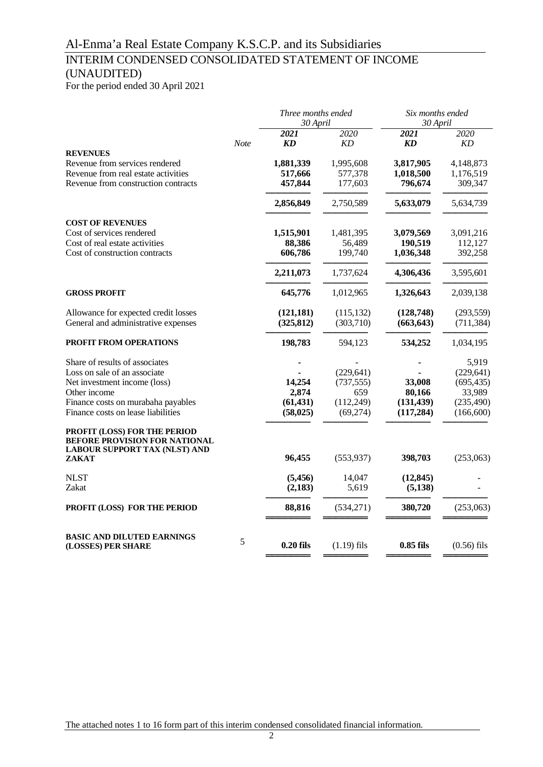### INTERIM CONDENSED CONSOLIDATED STATEMENT OF INCOME (UNAUDITED)

For the period ended 30 April 2021

|   |                    |                                                                                                  | Six months ended<br>30 April                                                                                      |                                                                                                                                   |  |
|---|--------------------|--------------------------------------------------------------------------------------------------|-------------------------------------------------------------------------------------------------------------------|-----------------------------------------------------------------------------------------------------------------------------------|--|
|   | 2021               | 2020                                                                                             | 2021                                                                                                              | 2020<br>KD                                                                                                                        |  |
|   |                    |                                                                                                  |                                                                                                                   | 4,148,873                                                                                                                         |  |
|   | 517,666<br>457,844 | 577,378<br>177,603                                                                               | 1,018,500<br>796,674                                                                                              | 1,176,519<br>309,347                                                                                                              |  |
|   | 2,856,849          | 2,750,589                                                                                        | 5,633,079                                                                                                         | 5,634,739                                                                                                                         |  |
|   |                    |                                                                                                  |                                                                                                                   | 3,091,216                                                                                                                         |  |
|   |                    |                                                                                                  |                                                                                                                   | 112,127                                                                                                                           |  |
|   | 606,786            | 199,740                                                                                          | 1,036,348                                                                                                         | 392,258                                                                                                                           |  |
|   | 2,211,073          | 1,737,624                                                                                        | 4,306,436                                                                                                         | 3,595,601                                                                                                                         |  |
|   | 645,776            | 1,012,965                                                                                        | 1,326,643                                                                                                         | 2,039,138                                                                                                                         |  |
|   | (121, 181)         | (115, 132)                                                                                       | (128, 748)                                                                                                        | (293, 559)                                                                                                                        |  |
|   |                    |                                                                                                  |                                                                                                                   | (711, 384)                                                                                                                        |  |
|   | 198,783            | 594,123                                                                                          | 534,252                                                                                                           | 1,034,195                                                                                                                         |  |
|   |                    |                                                                                                  |                                                                                                                   | 5,919                                                                                                                             |  |
|   |                    |                                                                                                  |                                                                                                                   | (229, 641)                                                                                                                        |  |
|   |                    |                                                                                                  |                                                                                                                   | (695, 435)<br>33,989                                                                                                              |  |
|   |                    |                                                                                                  |                                                                                                                   | (235, 490)                                                                                                                        |  |
|   | (58, 025)          | (69, 274)                                                                                        | (117, 284)                                                                                                        | (166, 600)                                                                                                                        |  |
|   |                    |                                                                                                  |                                                                                                                   |                                                                                                                                   |  |
|   | 96,455             | (553, 937)                                                                                       | 398,703                                                                                                           | (253,063)                                                                                                                         |  |
|   |                    | 14,047                                                                                           |                                                                                                                   |                                                                                                                                   |  |
|   | (2,183)            | 5,619                                                                                            | (5, 138)                                                                                                          |                                                                                                                                   |  |
|   | 88,816             | (534, 271)                                                                                       | 380,720                                                                                                           | (253,063)                                                                                                                         |  |
| 5 |                    |                                                                                                  |                                                                                                                   |                                                                                                                                   |  |
|   | <b>Note</b>        | KD<br>1,881,339<br>1,515,901<br>88,386<br>(325, 812)<br>14,254<br>2,874<br>(61, 431)<br>(5, 456) | 30 April<br>KD<br>1,995,608<br>1,481,395<br>56,489<br>(303, 710)<br>(229, 641)<br>(737, 555)<br>659<br>(112, 249) | Three months ended<br><b>KD</b><br>3,817,905<br>3,079,569<br>190,519<br>(663, 643)<br>33,008<br>80,166<br>(131, 439)<br>(12, 845) |  |

The attached notes 1 to 16 form part of this interim condensed consolidated financial information.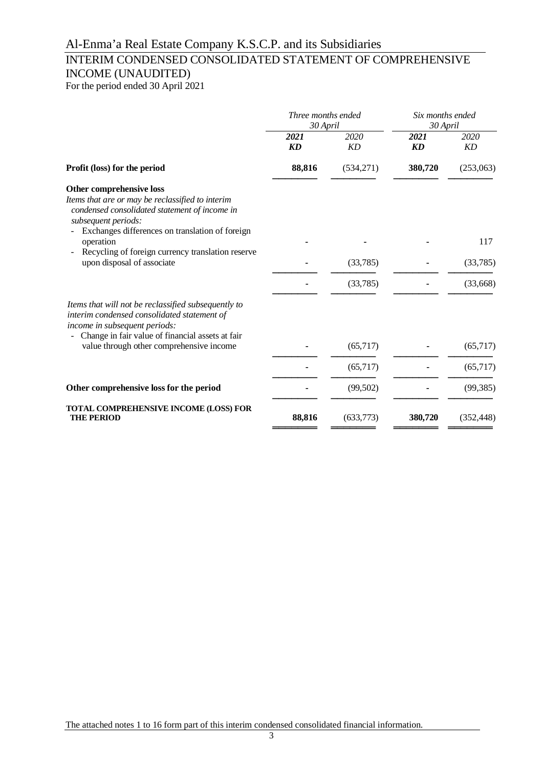### INTERIM CONDENSED CONSOLIDATED STATEMENT OF COMPREHENSIVE INCOME (UNAUDITED)

For the period ended 30 April 2021

|                                                                                                                                                                                         | Three months ended<br>30 April |            | Six months ended<br>30 April |                   |  |
|-----------------------------------------------------------------------------------------------------------------------------------------------------------------------------------------|--------------------------------|------------|------------------------------|-------------------|--|
|                                                                                                                                                                                         | 2021<br>KD                     | 2020<br>KD | 2021<br>KD                   | 2020<br><b>KD</b> |  |
| Profit (loss) for the period                                                                                                                                                            | 88,816                         | (534,271)  | 380,720                      | (253,063)         |  |
| Other comprehensive loss<br>Items that are or may be reclassified to interim<br>condensed consolidated statement of income in<br>subsequent periods:                                    |                                |            |                              |                   |  |
| Exchanges differences on translation of foreign<br>operation                                                                                                                            |                                |            |                              | 117               |  |
| Recycling of foreign currency translation reserve<br>upon disposal of associate                                                                                                         |                                | (33,785)   |                              | (33,785)          |  |
|                                                                                                                                                                                         |                                | (33,785)   |                              | (33,668)          |  |
| Items that will not be reclassified subsequently to<br>interim condensed consolidated statement of<br>income in subsequent periods:<br>Change in fair value of financial assets at fair |                                |            |                              |                   |  |
| value through other comprehensive income                                                                                                                                                |                                | (65,717)   |                              | (65,717)          |  |
|                                                                                                                                                                                         |                                | (65,717)   |                              | (65, 717)         |  |
| Other comprehensive loss for the period                                                                                                                                                 |                                | (99, 502)  |                              | (99, 385)         |  |
| TOTAL COMPREHENSIVE INCOME (LOSS) FOR<br><b>THE PERIOD</b>                                                                                                                              | 88,816                         | (633,773)  | 380,720                      | (352, 448)        |  |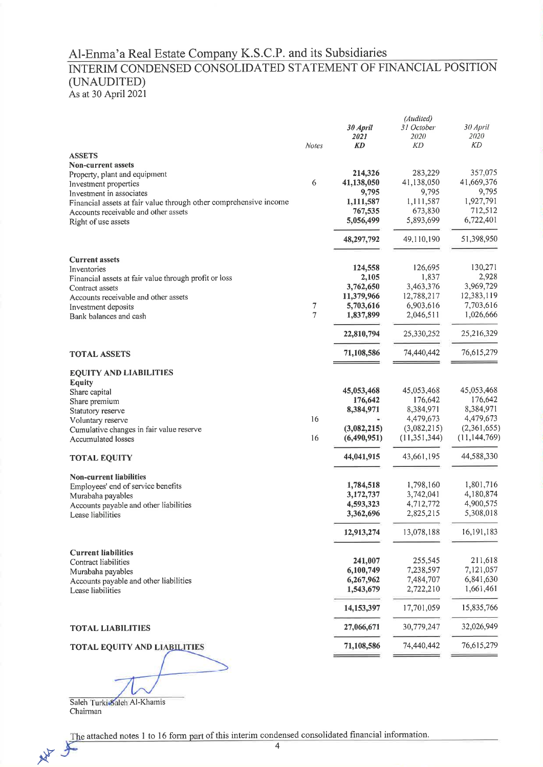# Al-Enma'a Real Estate Company K.S.C.P. and its Subsidiaries<br>INTERIM CONDENSED CONSOLIDATED STATEMENT OF FINANCIAL POSITION (UNAUDITED)

As at 30 April 2021

|                                                                   |                |             | (Audited)      |                |
|-------------------------------------------------------------------|----------------|-------------|----------------|----------------|
|                                                                   |                | 30 April    | 31 October     | 30 April       |
|                                                                   |                | 2021        | 2020           | <i>2020</i>    |
|                                                                   |                |             |                |                |
|                                                                   | <b>Notes</b>   | KD          | KD             | KD             |
| <b>ASSETS</b>                                                     |                |             |                |                |
| <b>Non-current assets</b>                                         |                |             |                |                |
| Property, plant and equipment                                     |                | 214,326     | 283,229        | 357,075        |
| Investment properties                                             | 6              | 41,138,050  | 41,138,050     | 41,669,376     |
|                                                                   |                | 9,795       | 9,795          | 9,795          |
| Investment in associates                                          |                |             |                |                |
| Financial assets at fair value through other comprehensive income |                | 1,111,587   | 1,111,587      | 1,927,791      |
| Accounts receivable and other assets                              |                | 767,535     | 673,830        | 712,512        |
| Right of use assets                                               |                | 5,056,499   | 5,893,699      | 6,722,401      |
|                                                                   |                | 48,297,792  | 49,110,190     | 51,398,950     |
| <b>Current assets</b>                                             |                |             |                |                |
| Inventories                                                       |                | 124,558     | 126,695        | 130,271        |
| Financial assets at fair value through profit or loss             |                | 2,105       | 1,837          | 2,928          |
|                                                                   |                | 3,762,650   | 3,463,376      | 3,969,729      |
| Contract assets                                                   |                |             |                | 12,383,119     |
| Accounts receivable and other assets                              |                | 11,379,966  | 12,788,217     |                |
| Investment deposits                                               | 7              | 5,703,616   | 6,903,616      | 7,703,616      |
| Bank balances and cash                                            | $\overline{7}$ | 1,837,899   | 2,046,511      | 1,026,666      |
|                                                                   |                | 22,810,794  | 25,330,252     | 25,216,329     |
| <b>TOTAL ASSETS</b>                                               |                | 71,108,586  | 74,440,442     | 76,615,279     |
|                                                                   |                |             |                |                |
| <b>EQUITY AND LIABILITIES</b>                                     |                |             |                |                |
| <b>Equity</b>                                                     |                |             |                |                |
| Share capital                                                     |                | 45,053,468  | 45,053,468     | 45,053,468     |
| Share premium                                                     |                | 176,642     | 176,642        | 176,642        |
| Statutory reserve                                                 |                | 8,384,971   | 8,384,971      | 8,384,971      |
|                                                                   | 16             |             | 4,479,673      | 4,479,673      |
| Voluntary reserve                                                 |                |             |                |                |
| Cumulative changes in fair value reserve                          |                | (3,082,215) | (3,082,215)    | (2,361,655)    |
| <b>Accumulated losses</b>                                         | 16             | (6,490,951) | (11, 351, 344) | (11, 144, 769) |
| <b>TOTAL EQUITY</b>                                               |                | 44,041,915  | 43,661,195     | 44,588,330     |
| <b>Non-current liabilities</b>                                    |                |             |                |                |
| Employees' end of service benefits                                |                | 1,784,518   | 1,798,160      | 1,801,716      |
| Murabaha payables                                                 |                | 3,172,737   | 3,742,041      | 4,180,874      |
| Accounts payable and other liabilities                            |                | 4,593,323   | 4,712,772      | 4,900,575      |
| Lease liabilities                                                 |                | 3,362,696   | 2,825,215      | 5,308,018      |
|                                                                   |                | 12,913,274  | 13,078,188     | 16,191,183     |
|                                                                   |                |             |                |                |
| <b>Current liabilities</b>                                        |                |             |                |                |
| Contract liabilities                                              |                | 241,007     | 255,545        | 211,618        |
| Murabaha payables                                                 |                | 6,100,749   | 7,238,597      | 7,121,057      |
| Accounts payable and other liabilities                            |                | 6,267,962   | 7,484,707      | 6,841,630      |
| Lease liabilities                                                 |                | 1,543,679   | 2,722,210      | 1,661,461      |
|                                                                   |                | 14,153,397  | 17,701,059     | 15,835,766     |
| <b>TOTAL LIABILITIES</b>                                          |                | 27,066,671  | 30,779,247     | 32,026,949     |
| <b>TOTAL EQUITY AND LIABILITIES</b>                               |                | 71,108,586  | 74,440,442     | 76,615,279     |
|                                                                   |                |             |                |                |
|                                                                   |                |             |                |                |

Saleh Turki Saleh Al-Khamis Chairman

The attached notes 1 to 16 form part of this interim condensed consolidated financial information. 水平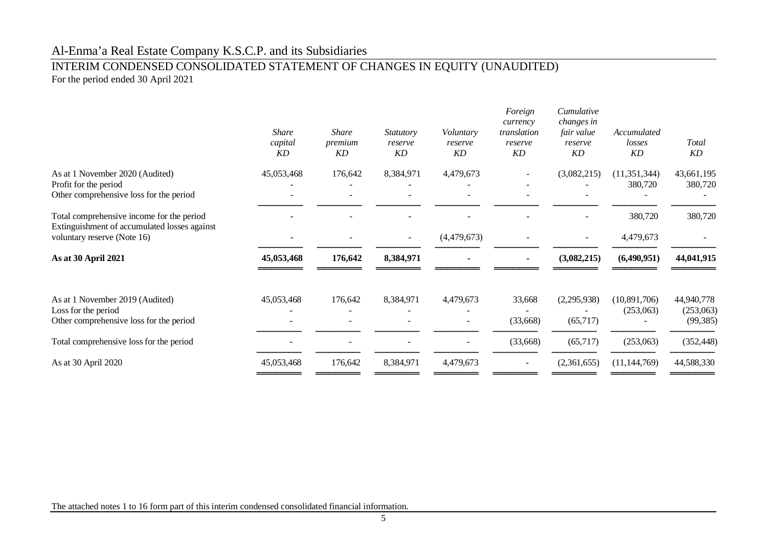### INTERIM CONDENSED CONSOLIDATED STATEMENT OF CHANGES IN EQUITY (UNAUDITED) For the period ended 30 April 2021

|                                                                                                                          | <b>Share</b><br>capital<br>KD | <b>Share</b><br>premium<br>KD | <i>Statutory</i><br>reserve<br>KD | Voluntary<br>reserve<br>KD | Foreign<br>currency<br>translation<br>reserve<br>KD | Cumulative<br>changes in<br>fair value<br>reserve<br>KD | Accumulated<br>losses<br>KD | <b>Total</b><br>KD                   |
|--------------------------------------------------------------------------------------------------------------------------|-------------------------------|-------------------------------|-----------------------------------|----------------------------|-----------------------------------------------------|---------------------------------------------------------|-----------------------------|--------------------------------------|
| As at 1 November 2020 (Audited)<br>Profit for the period<br>Other comprehensive loss for the period                      | 45,053,468                    | 176,642                       | 8,384,971                         | 4,479,673                  |                                                     | (3,082,215)                                             | (11,351,344)<br>380,720     | 43,661,195<br>380,720                |
| Total comprehensive income for the period<br>Extinguishment of accumulated losses against<br>voluntary reserve (Note 16) |                               |                               | $\sim$                            | (4,479,673)                |                                                     |                                                         | 380,720<br>4,479,673        | 380,720                              |
| As at 30 April 2021                                                                                                      | 45,053,468                    | 176,642                       | 8,384,971                         |                            |                                                     | (3,082,215)                                             | (6,490,951)                 | 44,041,915                           |
| As at 1 November 2019 (Audited)<br>Loss for the period<br>Other comprehensive loss for the period                        | 45,053,468                    | 176,642                       | 8,384,971                         | 4,479,673                  | 33,668<br>(33, 668)                                 | (2,295,938)<br>(65,717)                                 | (10,891,706)<br>(253,063)   | 44,940,778<br>(253,063)<br>(99, 385) |
| Total comprehensive loss for the period                                                                                  |                               |                               |                                   |                            | (33, 668)                                           | (65,717)                                                | (253,063)                   | (352, 448)                           |
| As at 30 April 2020                                                                                                      | 45,053,468                    | 176,642                       | 8,384,971                         | 4,479,673                  |                                                     | (2,361,655)                                             | (11, 144, 769)              | 44,588,330                           |
|                                                                                                                          |                               |                               |                                   |                            |                                                     |                                                         |                             |                                      |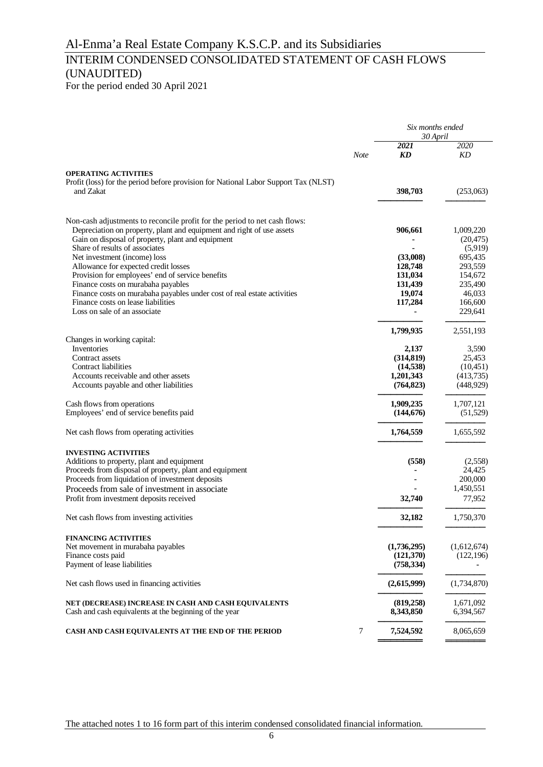### INTERIM CONDENSED CONSOLIDATED STATEMENT OF CASH FLOWS (UNAUDITED)

For the period ended 30 April 2021

|                                                                                     |             | Six months ended<br>30 April |                     |  |
|-------------------------------------------------------------------------------------|-------------|------------------------------|---------------------|--|
|                                                                                     | <b>Note</b> | 2021<br>KD                   | 2020<br>KD          |  |
| <b>OPERATING ACTIVITIES</b>                                                         |             |                              |                     |  |
| Profit (loss) for the period before provision for National Labor Support Tax (NLST) |             |                              |                     |  |
| and Zakat                                                                           |             | 398,703                      | (253,063)           |  |
| Non-cash adjustments to reconcile profit for the period to net cash flows:          |             |                              |                     |  |
| Depreciation on property, plant and equipment and right of use assets               |             | 906,661                      | 1,009,220           |  |
| Gain on disposal of property, plant and equipment                                   |             |                              | (20, 475)           |  |
| Share of results of associates                                                      |             |                              | (5,919)             |  |
| Net investment (income) loss<br>Allowance for expected credit losses                |             | (33,008)<br>128,748          | 695,435<br>293,559  |  |
| Provision for employees' end of service benefits                                    |             | 131,034                      | 154,672             |  |
| Finance costs on murabaha payables                                                  |             | 131,439                      | 235,490             |  |
| Finance costs on murabaha payables under cost of real estate activities             |             | 19,074                       | 46,033              |  |
| Finance costs on lease liabilities                                                  |             | 117,284                      | 166,600             |  |
| Loss on sale of an associate                                                        |             |                              | 229,641             |  |
|                                                                                     |             | 1,799,935                    | 2,551,193           |  |
| Changes in working capital:                                                         |             |                              |                     |  |
| Inventories                                                                         |             | 2,137                        | 3,590               |  |
| Contract assets<br>Contract liabilities                                             |             | (314, 819)                   | 25.453<br>(10, 451) |  |
| Accounts receivable and other assets                                                |             | (14, 538)<br>1,201,343       | (413,735)           |  |
| Accounts payable and other liabilities                                              |             | (764, 823)                   | (448, 929)          |  |
| Cash flows from operations                                                          |             | 1,909,235                    | 1,707,121           |  |
| Employees' end of service benefits paid                                             |             | (144, 676)                   | (51, 529)           |  |
| Net cash flows from operating activities                                            |             | 1,764,559                    | 1,655,592           |  |
| <b>INVESTING ACTIVITIES</b>                                                         |             |                              |                     |  |
| Additions to property, plant and equipment                                          |             | (558)                        | (2,558)             |  |
| Proceeds from disposal of property, plant and equipment                             |             |                              | 24,425              |  |
| Proceeds from liquidation of investment deposits                                    |             |                              | 200,000             |  |
| Proceeds from sale of investment in associate                                       |             |                              | 1,450,551           |  |
| Profit from investment deposits received                                            |             | 32,740                       | 77,952              |  |
| Net cash flows from investing activities                                            |             | 32,182                       | 1,750,370           |  |
| <b>FINANCING ACTIVITIES</b>                                                         |             |                              |                     |  |
| Net movement in murabaha payables                                                   |             | (1,736,295)                  | (1,612,674)         |  |
| Finance costs paid<br>Payment of lease liabilities                                  |             | (121,370)<br>(758, 334)      | (122, 196)          |  |
| Net cash flows used in financing activities                                         |             | (2,615,999)                  | (1,734,870)         |  |
| NET (DECREASE) INCREASE IN CASH AND CASH EQUIVALENTS                                |             | (819, 258)                   | 1,671,092           |  |
| Cash and cash equivalents at the beginning of the year                              |             | 8,343,850                    | 6,394,567           |  |
| CASH AND CASH EQUIVALENTS AT THE END OF THE PERIOD                                  | 7           | 7,524,592                    | 8,065,659           |  |

The attached notes 1 to 16 form part of this interim condensed consolidated financial information.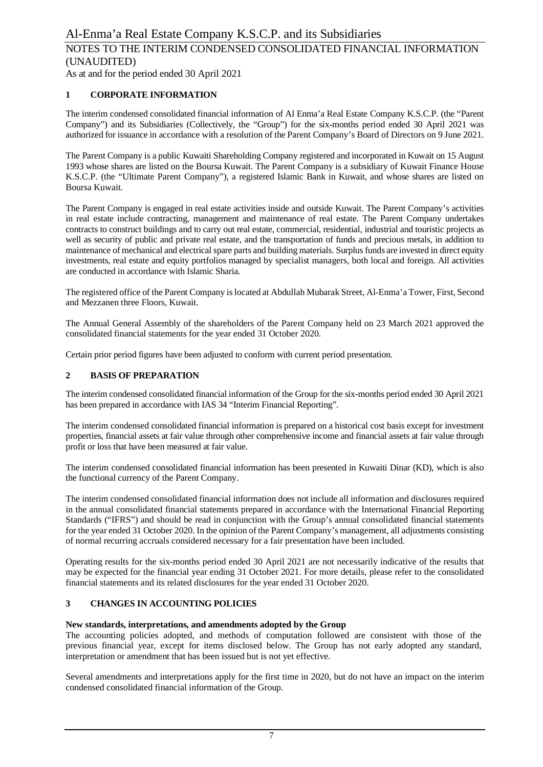As at and for the period ended 30 April 2021

### **1 CORPORATE INFORMATION**

The interim condensed consolidated financial information of Al Enma'a Real Estate Company K.S.C.P. (the "Parent Company") and its Subsidiaries (Collectively, the "Group") for the six-months period ended 30 April 2021 was authorized for issuance in accordance with a resolution of the Parent Company's Board of Directors on 9 June 2021.

The Parent Company is a public Kuwaiti Shareholding Company registered and incorporated in Kuwait on 15 August 1993 whose shares are listed on the Boursa Kuwait. The Parent Company is a subsidiary of Kuwait Finance House K.S.C.P. (the "Ultimate Parent Company"), a registered Islamic Bank in Kuwait, and whose shares are listed on Boursa Kuwait.

The Parent Company is engaged in real estate activities inside and outside Kuwait. The Parent Company's activities in real estate include contracting, management and maintenance of real estate. The Parent Company undertakes contracts to construct buildings and to carry out real estate, commercial, residential, industrial and touristic projects as well as security of public and private real estate, and the transportation of funds and precious metals, in addition to maintenance of mechanical and electrical spare parts and building materials. Surplus funds are invested in direct equity investments, real estate and equity portfolios managed by specialist managers, both local and foreign. All activities are conducted in accordance with Islamic Sharia.

The registered office of the Parent Company is located at Abdullah Mubarak Street, Al-Enma'a Tower, First, Second and Mezzanen three Floors, Kuwait.

The Annual General Assembly of the shareholders of the Parent Company held on 23 March 2021 approved the consolidated financial statements for the year ended 31 October 2020.

Certain prior period figures have been adjusted to conform with current period presentation.

### **2 BASIS OF PREPARATION**

The interim condensed consolidated financial information of the Group for the six-months period ended 30 April 2021 has been prepared in accordance with IAS 34 "Interim Financial Reporting".

The interim condensed consolidated financial information is prepared on a historical cost basis except for investment properties, financial assets at fair value through other comprehensive income and financial assets at fair value through profit or loss that have been measured at fair value.

The interim condensed consolidated financial information has been presented in Kuwaiti Dinar (KD), which is also the functional currency of the Parent Company.

The interim condensed consolidated financial information does not include all information and disclosures required in the annual consolidated financial statements prepared in accordance with the International Financial Reporting Standards ("IFRS") and should be read in conjunction with the Group's annual consolidated financial statements for the year ended 31 October 2020. In the opinion of the Parent Company's management, all adjustments consisting of normal recurring accruals considered necessary for a fair presentation have been included.

Operating results for the six-months period ended 30 April 2021 are not necessarily indicative of the results that may be expected for the financial year ending 31 October 2021. For more details, please refer to the consolidated financial statements and its related disclosures for the year ended 31 October 2020.

#### **3 CHANGES IN ACCOUNTING POLICIES**

#### **New standards, interpretations, and amendments adopted by the Group**

The accounting policies adopted, and methods of computation followed are consistent with those of the previous financial year, except for items disclosed below. The Group has not early adopted any standard, interpretation or amendment that has been issued but is not yet effective.

Several amendments and interpretations apply for the first time in 2020, but do not have an impact on the interim condensed consolidated financial information of the Group.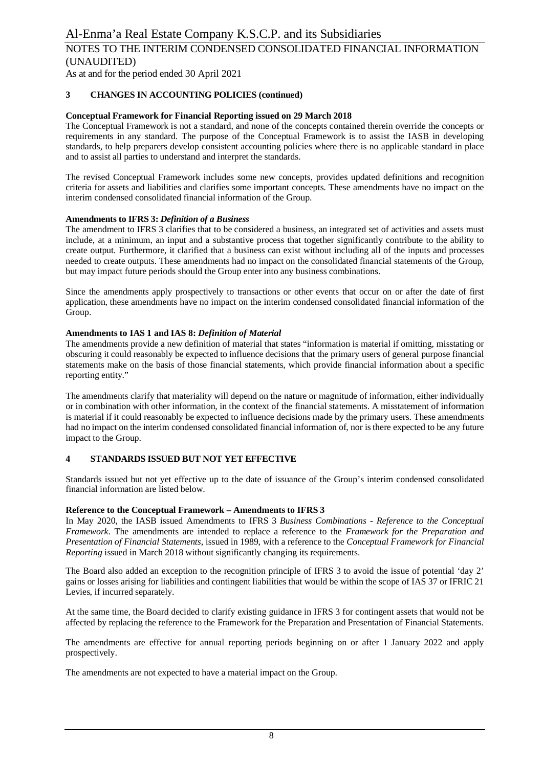As at and for the period ended 30 April 2021

### **3 CHANGES IN ACCOUNTING POLICIES (continued)**

#### **Conceptual Framework for Financial Reporting issued on 29 March 2018**

The Conceptual Framework is not a standard, and none of the concepts contained therein override the concepts or requirements in any standard. The purpose of the Conceptual Framework is to assist the IASB in developing standards, to help preparers develop consistent accounting policies where there is no applicable standard in place and to assist all parties to understand and interpret the standards.

The revised Conceptual Framework includes some new concepts, provides updated definitions and recognition criteria for assets and liabilities and clarifies some important concepts. These amendments have no impact on the interim condensed consolidated financial information of the Group.

#### **Amendments to IFRS 3:** *Definition of a Business*

The amendment to IFRS 3 clarifies that to be considered a business, an integrated set of activities and assets must include, at a minimum, an input and a substantive process that together significantly contribute to the ability to create output. Furthermore, it clarified that a business can exist without including all of the inputs and processes needed to create outputs. These amendments had no impact on the consolidated financial statements of the Group, but may impact future periods should the Group enter into any business combinations.

Since the amendments apply prospectively to transactions or other events that occur on or after the date of first application, these amendments have no impact on the interim condensed consolidated financial information of the Group.

#### **Amendments to IAS 1 and IAS 8:** *Definition of Material*

The amendments provide a new definition of material that states "information is material if omitting, misstating or obscuring it could reasonably be expected to influence decisions that the primary users of general purpose financial statements make on the basis of those financial statements, which provide financial information about a specific reporting entity."

The amendments clarify that materiality will depend on the nature or magnitude of information, either individually or in combination with other information, in the context of the financial statements. A misstatement of information is material if it could reasonably be expected to influence decisions made by the primary users. These amendments had no impact on the interim condensed consolidated financial information of, nor is there expected to be any future impact to the Group.

#### **4 STANDARDS ISSUED BUT NOT YET EFFECTIVE**

Standards issued but not yet effective up to the date of issuance of the Group's interim condensed consolidated financial information are listed below.

#### **Reference to the Conceptual Framework – Amendments to IFRS 3**

In May 2020, the IASB issued Amendments to IFRS 3 *Business Combinations - Reference to the Conceptual Framework*. The amendments are intended to replace a reference to the *Framework for the Preparation and Presentation of Financial Statements*, issued in 1989, with a reference to the *Conceptual Framework for Financial Reporting* issued in March 2018 without significantly changing its requirements.

The Board also added an exception to the recognition principle of IFRS 3 to avoid the issue of potential 'day 2' gains or losses arising for liabilities and contingent liabilities that would be within the scope of IAS 37 or IFRIC 21 Levies, if incurred separately.

At the same time, the Board decided to clarify existing guidance in IFRS 3 for contingent assets that would not be affected by replacing the reference to the Framework for the Preparation and Presentation of Financial Statements.

The amendments are effective for annual reporting periods beginning on or after 1 January 2022 and apply prospectively.

The amendments are not expected to have a material impact on the Group.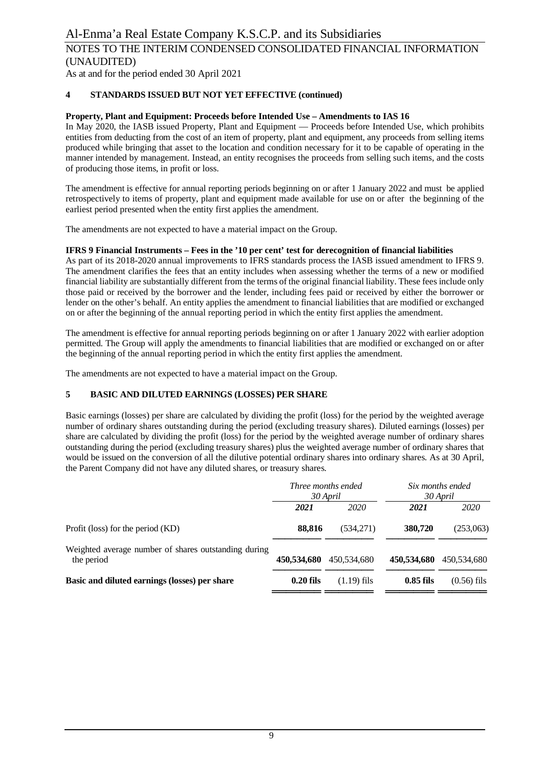As at and for the period ended 30 April 2021

### **4 STANDARDS ISSUED BUT NOT YET EFFECTIVE (continued)**

### **Property, Plant and Equipment: Proceeds before Intended Use – Amendments to IAS 16**

In May 2020, the IASB issued Property, Plant and Equipment — Proceeds before Intended Use, which prohibits entities from deducting from the cost of an item of property, plant and equipment, any proceeds from selling items produced while bringing that asset to the location and condition necessary for it to be capable of operating in the manner intended by management. Instead, an entity recognises the proceeds from selling such items, and the costs of producing those items, in profit or loss.

The amendment is effective for annual reporting periods beginning on or after 1 January 2022 and must be applied retrospectively to items of property, plant and equipment made available for use on or after the beginning of the earliest period presented when the entity first applies the amendment.

The amendments are not expected to have a material impact on the Group.

#### **IFRS 9 Financial Instruments – Fees in the '10 per cent' test for derecognition of financial liabilities**

As part of its 2018-2020 annual improvements to IFRS standards process the IASB issued amendment to IFRS 9. The amendment clarifies the fees that an entity includes when assessing whether the terms of a new or modified financial liability are substantially different from the terms of the original financial liability. These fees include only those paid or received by the borrower and the lender, including fees paid or received by either the borrower or lender on the other's behalf. An entity applies the amendment to financial liabilities that are modified or exchanged on or after the beginning of the annual reporting period in which the entity first applies the amendment.

The amendment is effective for annual reporting periods beginning on or after 1 January 2022 with earlier adoption permitted. The Group will apply the amendments to financial liabilities that are modified or exchanged on or after the beginning of the annual reporting period in which the entity first applies the amendment.

The amendments are not expected to have a material impact on the Group.

#### **5 BASIC AND DILUTED EARNINGS (LOSSES) PER SHARE**

Basic earnings (losses) per share are calculated by dividing the profit (loss) for the period by the weighted average number of ordinary shares outstanding during the period (excluding treasury shares). Diluted earnings (losses) per share are calculated by dividing the profit (loss) for the period by the weighted average number of ordinary shares outstanding during the period (excluding treasury shares) plus the weighted average number of ordinary shares that would be issued on the conversion of all the dilutive potential ordinary shares into ordinary shares. As at 30 April, the Parent Company did not have any diluted shares, or treasury shares.

|                                                                    | Three months ended<br>30 April |               | Six months ended<br>30 April |               |
|--------------------------------------------------------------------|--------------------------------|---------------|------------------------------|---------------|
|                                                                    | 2021                           | 2020          | 2021                         | 2020          |
| Profit (loss) for the period (KD)                                  | 88.816                         | (534,271)     | 380,720                      | (253,063)     |
| Weighted average number of shares outstanding during<br>the period | 450,534,680                    | 450,534,680   | 450,534,680                  | 450,534,680   |
| Basic and diluted earnings (losses) per share                      | $0.20$ fils                    | $(1.19)$ fils | $0.85$ fils                  | $(0.56)$ fils |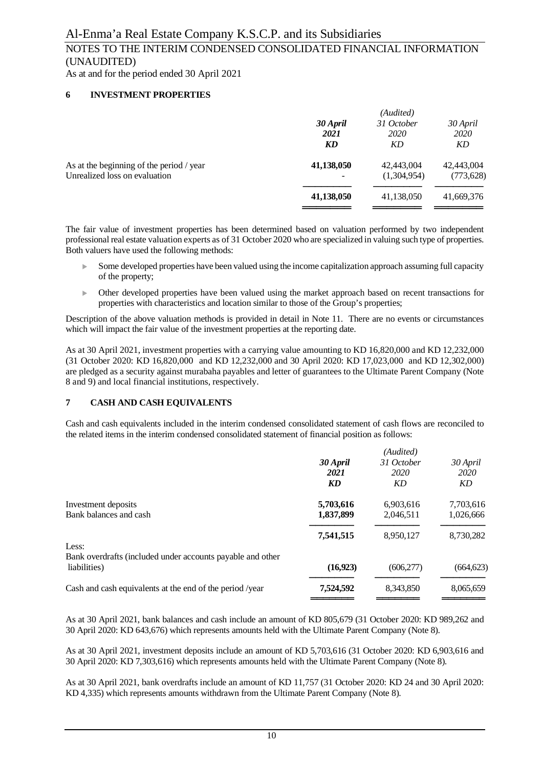As at and for the period ended 30 April 2021

### **6 INVESTMENT PROPERTIES**

|                                          | (Audited)  |             |            |  |  |
|------------------------------------------|------------|-------------|------------|--|--|
|                                          | 30 April   | 31 October  | 30 April   |  |  |
|                                          | 2021       | <i>2020</i> | 2020       |  |  |
|                                          | KD         | KD          | KD         |  |  |
| As at the beginning of the period / year | 41,138,050 | 42,443,004  | 42,443,004 |  |  |
| Unrealized loss on evaluation            | -          | (1,304,954) | (773, 628) |  |  |
|                                          | 41,138,050 | 41,138,050  | 41,669,376 |  |  |
|                                          |            |             |            |  |  |

The fair value of investment properties has been determined based on valuation performed by two independent professional real estate valuation experts as of 31 October 2020 who are specialized in valuing such type of properties. Both valuers have used the following methods:

- Some developed properties have been valued using the income capitalization approach assuming full capacity of the property;
- <sup>u</sup> Other developed properties have been valued using the market approach based on recent transactions for properties with characteristics and location similar to those of the Group's properties;

Description of the above valuation methods is provided in detail in Note 11. There are no events or circumstances which will impact the fair value of the investment properties at the reporting date.

As at 30 April 2021, investment properties with a carrying value amounting to KD 16,820,000 and KD 12,232,000 (31 October 2020: KD 16,820,000 and KD 12,232,000 and 30 April 2020: KD 17,023,000 and KD 12,302,000) are pledged as a security against murabaha payables and letter of guarantees to the Ultimate Parent Company (Note 8 and 9) and local financial institutions, respectively.

#### **7 CASH AND CASH EQUIVALENTS**

Cash and cash equivalents included in the interim condensed consolidated statement of cash flows are reconciled to the related items in the interim condensed consolidated statement of financial position as follows:

|                                                            | (Audited) |            |            |  |  |
|------------------------------------------------------------|-----------|------------|------------|--|--|
|                                                            | 30 April  | 31 October | 30 April   |  |  |
|                                                            | 2021      | 2020       | 2020       |  |  |
|                                                            | <b>KD</b> | KD         | KD         |  |  |
| Investment deposits                                        | 5,703,616 | 6,903,616  | 7,703,616  |  |  |
| Bank balances and cash                                     | 1,837,899 | 2.046.511  | 1,026,666  |  |  |
|                                                            | 7,541,515 | 8,950,127  | 8,730,282  |  |  |
| Less:                                                      |           |            |            |  |  |
| Bank overdrafts (included under accounts payable and other |           |            |            |  |  |
| liabilities)                                               | (16, 923) | (606, 277) | (664, 623) |  |  |
| Cash and cash equivalents at the end of the period /year   | 7,524,592 | 8,343,850  | 8,065,659  |  |  |
|                                                            |           |            |            |  |  |

As at 30 April 2021, bank balances and cash include an amount of KD 805,679 (31 October 2020: KD 989,262 and 30 April 2020: KD 643,676) which represents amounts held with the Ultimate Parent Company (Note 8).

As at 30 April 2021, investment deposits include an amount of KD 5,703,616 (31 October 2020: KD 6,903,616 and 30 April 2020: KD 7,303,616) which represents amounts held with the Ultimate Parent Company (Note 8).

As at 30 April 2021, bank overdrafts include an amount of KD 11,757 (31 October 2020: KD 24 and 30 April 2020: KD 4,335) which represents amounts withdrawn from the Ultimate Parent Company (Note 8).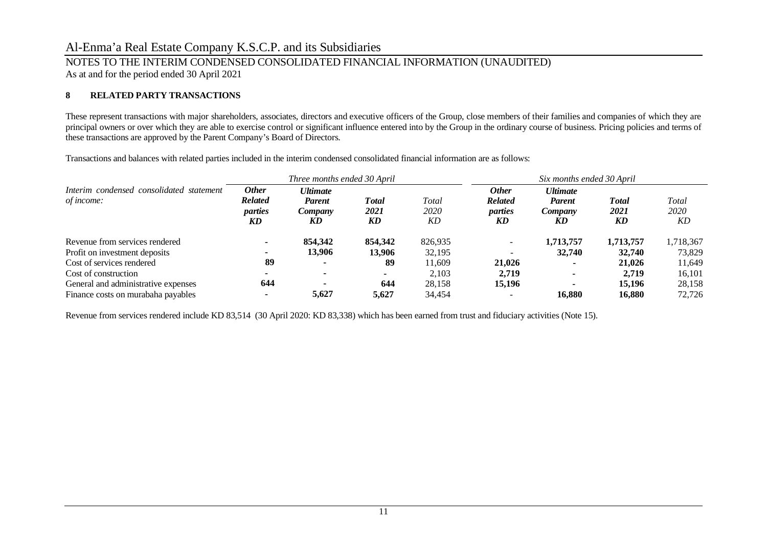As at and for the period ended 30 April 2021

### **8 RELATED PARTY TRANSACTIONS**

These represent transactions with major shareholders, associates, directors and executive officers of the Group, close members of their families and companies of which they are principal owners or over which they are able to exercise control or significant influence entered into by the Group in the ordinary course of business. Pricing policies and terms of these transactions are approved by the Parent Company's Board of Directors.

*Three months ended 30 April Six months ended 30 April Interim condensed consolidated statement of income: Other Related parties Ultimate Parent Company Total 2021 Total 2020 Other Related parties Ultimate Parent Company Total 2021 Total 2020 KD KD KD KD KD KD KD KD* Revenue from services rendered **- 854,342 854,342** 826,935 *-* **1,713,757 1,713,757** 1,718,367 Profit on investment deposits<br>
Cost of services rendered<br> **89 13,906 13,906 13,906 32,195 11.609 32,740 32,740 32,740 32,740** <br> **89 11.609 21.026 11.649** Cost of services rendered **89 - 89** 11,609 **21,026 - 21,026** 11,649 Cost of construction **- - -** 2,103 **2,719 - 2,719** 16,101 General and administrative expenses **644 - 644** 28,158 **15,196 - 15,196** 28,158 Finance costs on murabaha payables **- 5,627 5,627** 34,454 - **16,880 16,880** 72,726

Transactions and balances with related parties included in the interim condensed consolidated financial information are as follows:

Revenue from services rendered include KD 83,514 (30 April 2020: KD 83,338) which has been earned from trust and fiduciary activities (Note 15).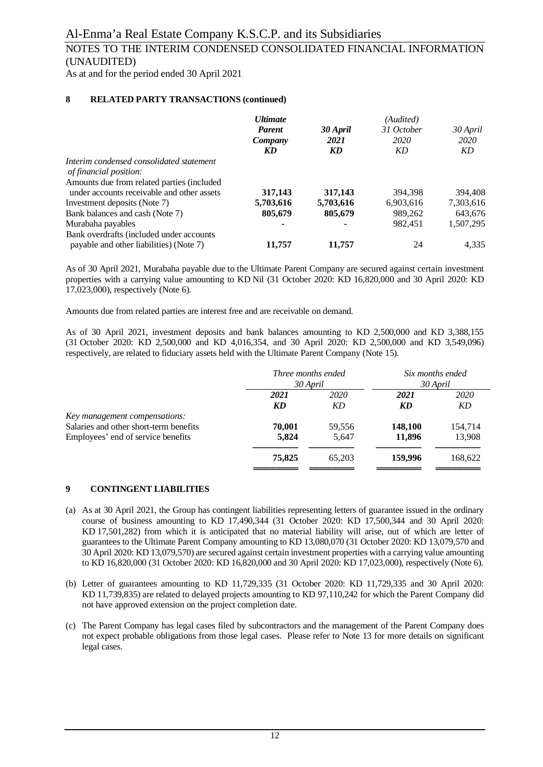As at and for the period ended 30 April 2021

### **8 RELATED PARTY TRANSACTIONS (continued)**

|                                            | <b>Ultimate</b> |           | (Audited)  |           |
|--------------------------------------------|-----------------|-----------|------------|-----------|
|                                            | <b>Parent</b>   | 30 April  | 31 October | 30 April  |
|                                            | Company         | 2021      | 2020       | 2020      |
|                                            | KD              | KD        | KD         | KD        |
| Interim condensed consolidated statement   |                 |           |            |           |
| of financial position:                     |                 |           |            |           |
| Amounts due from related parties (included |                 |           |            |           |
| under accounts receivable and other assets | 317,143         | 317,143   | 394,398    | 394,408   |
| Investment deposits (Note 7)               | 5,703,616       | 5,703,616 | 6,903,616  | 7,303,616 |
| Bank balances and cash (Note 7)            | 805,679         | 805,679   | 989.262    | 643.676   |
| Murabaha payables                          |                 |           | 982.451    | 1,507,295 |
| Bank overdrafts (included under accounts   |                 |           |            |           |
| payable and other liabilities) (Note 7)    | 11.757          | 11.757    | 24         | 4.335     |

As of 30 April 2021, Murabaha payable due to the Ultimate Parent Company are secured against certain investment properties with a carrying value amounting to KD Nil (31 October 2020: KD 16,820,000 and 30 April 2020: KD 17,023,000), respectively (Note 6).

Amounts due from related parties are interest free and are receivable on demand.

As of 30 April 2021, investment deposits and bank balances amounting to KD 2,500,000 and KD 3,388,155 (31 October 2020: KD 2,500,000 and KD 4,016,354, and 30 April 2020: KD 2,500,000 and KD 3,549,096) respectively, are related to fiduciary assets held with the Ultimate Parent Company (Note 15).

|                                        |        | Three months ended | Six months ended |             |
|----------------------------------------|--------|--------------------|------------------|-------------|
|                                        |        | 30 April           |                  | 30 April    |
|                                        | 2021   | 2020               |                  | <i>2020</i> |
|                                        | KD     | KD                 | KD               | KD          |
| Key management compensations:          |        |                    |                  |             |
| Salaries and other short-term benefits | 70,001 | 59,556             | 148,100          | 154,714     |
| Employees' end of service benefits     | 5.824  | 5.647              | 11,896           | 13,908      |
|                                        | 75,825 | 65,203             | 159,996          | 168.622     |
|                                        |        |                    |                  |             |

#### **9 CONTINGENT LIABILITIES**

- (a) As at 30 April 2021, the Group has contingent liabilities representing letters of guarantee issued in the ordinary course of business amounting to KD 17,490,344 (31 October 2020: KD 17,500,344 and 30 April 2020: KD 17,501,282) from which it is anticipated that no material liability will arise, out of which are letter of guarantees to the Ultimate Parent Company amounting to KD 13,080,070 (31 October 2020: KD 13,079,570 and 30 April 2020: KD 13,079,570) are secured against certain investment properties with a carrying value amounting to KD 16,820,000 (31 October 2020: KD 16,820,000 and 30 April 2020: KD 17,023,000), respectively (Note 6).
- (b) Letter of guarantees amounting to KD 11,729,335 (31 October 2020: KD 11,729,335 and 30 April 2020: KD 11,739,835) are related to delayed projects amounting to KD 97,110,242 for which the Parent Company did not have approved extension on the project completion date.
- (c) The Parent Company has legal cases filed by subcontractors and the management of the Parent Company does not expect probable obligations from those legal cases. Please refer to Note 13 for more details on significant legal cases.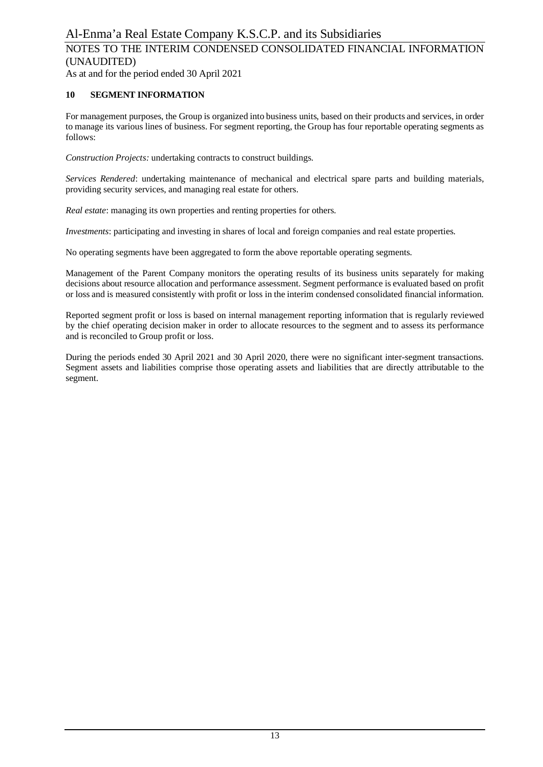As at and for the period ended 30 April 2021

### **10 SEGMENT INFORMATION**

For management purposes, the Group is organized into business units, based on their products and services, in order to manage its various lines of business. For segment reporting, the Group has four reportable operating segments as follows:

*Construction Projects:* undertaking contracts to construct buildings.

*Services Rendered*: undertaking maintenance of mechanical and electrical spare parts and building materials, providing security services, and managing real estate for others.

*Real estate*: managing its own properties and renting properties for others.

*Investments*: participating and investing in shares of local and foreign companies and real estate properties.

No operating segments have been aggregated to form the above reportable operating segments.

Management of the Parent Company monitors the operating results of its business units separately for making decisions about resource allocation and performance assessment. Segment performance is evaluated based on profit or loss and is measured consistently with profit or loss in the interim condensed consolidated financial information.

Reported segment profit or loss is based on internal management reporting information that is regularly reviewed by the chief operating decision maker in order to allocate resources to the segment and to assess its performance and is reconciled to Group profit or loss.

During the periods ended 30 April 2021 and 30 April 2020, there were no significant inter-segment transactions. Segment assets and liabilities comprise those operating assets and liabilities that are directly attributable to the segment.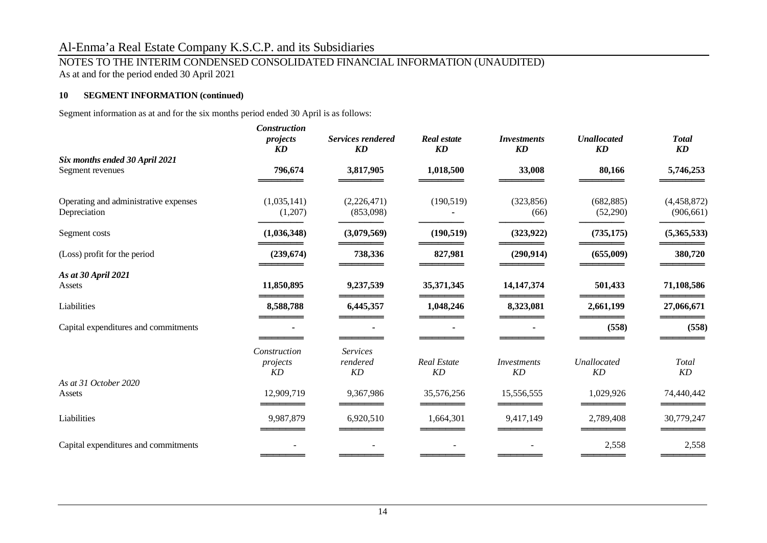### NOTES TO THE INTERIM CONDENSED CONSOLIDATED FINANCIAL INFORMATION (UNAUDITED)

As at and for the period ended 30 April 2021

### **10 SEGMENT INFORMATION (continued)**

Segment information as at and for the six months period ended 30 April is as follows:

|                                                       | <b>Construction</b><br>projects<br><b>KD</b> | <b>Services rendered</b><br>KD    | <b>Real estate</b><br><b>KD</b> | <i>Investments</i><br><b>KD</b> | <b>Unallocated</b><br>KD | <b>Total</b><br>$\boldsymbol{K}\boldsymbol{D}$ |
|-------------------------------------------------------|----------------------------------------------|-----------------------------------|---------------------------------|---------------------------------|--------------------------|------------------------------------------------|
| Six months ended 30 April 2021<br>Segment revenues    | 796,674                                      | 3,817,905                         | 1,018,500                       | 33,008                          | 80,166                   | 5,746,253                                      |
| Operating and administrative expenses<br>Depreciation | (1,035,141)<br>(1,207)                       | (2,226,471)<br>(853,098)          | (190, 519)                      | (323, 856)<br>(66)              | (682, 885)<br>(52,290)   | (4,458,872)<br>(906, 661)                      |
| Segment costs                                         | (1,036,348)                                  | (3,079,569)                       | (190, 519)                      | (323, 922)                      | (735, 175)               | (5,365,533)                                    |
| (Loss) profit for the period                          | (239, 674)                                   | 738,336                           | 827,981                         | (290, 914)                      | (655,009)                | 380,720                                        |
| As at 30 April 2021<br>Assets                         | 11,850,895                                   | 9,237,539                         | 35,371,345                      | 14, 147, 374                    | 501,433                  | 71,108,586                                     |
| Liabilities                                           | 8,588,788                                    | 6,445,357                         | 1,048,246                       | 8,323,081                       | 2,661,199                | 27,066,671                                     |
| Capital expenditures and commitments                  |                                              |                                   |                                 |                                 | (558)                    | (558)                                          |
|                                                       | Construction<br>projects<br>KD               | <b>Services</b><br>rendered<br>KD | <b>Real Estate</b><br>KD        | Investments<br>KD               | Unallocated<br>KD        | Total<br>KD                                    |
| As at 31 October 2020<br>Assets                       | 12,909,719                                   | 9,367,986                         | 35,576,256                      | 15,556,555                      | 1,029,926                | 74,440,442                                     |
| Liabilities                                           | 9,987,879                                    | 6,920,510                         | 1,664,301                       | 9,417,149                       | 2,789,408                | 30,779,247                                     |
| Capital expenditures and commitments                  |                                              |                                   |                                 |                                 | 2,558                    | 2,558                                          |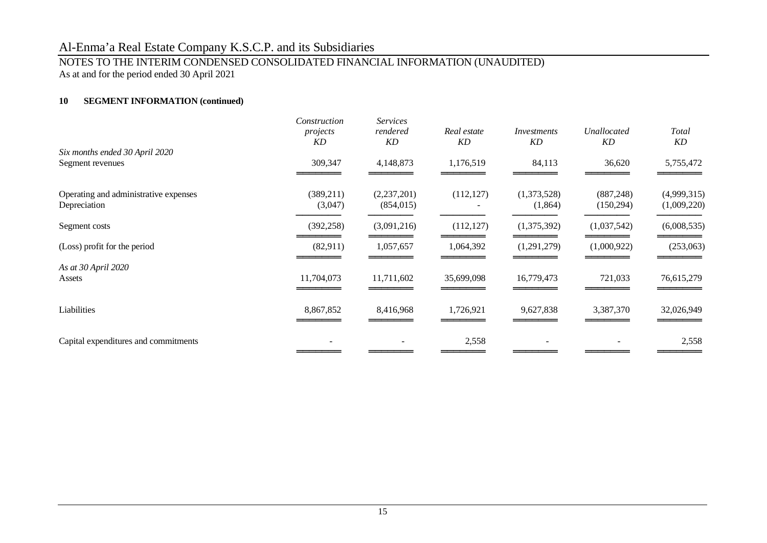### NOTES TO THE INTERIM CONDENSED CONSOLIDATED FINANCIAL INFORMATION (UNAUDITED)

As at and for the period ended 30 April 2021

### **10 SEGMENT INFORMATION (continued)**

|                                                       | Construction<br>projects<br>KD | <b>Services</b><br>rendered<br>KD | Real estate<br>KD | Investments<br>KD      | Unallocated<br>KD        | Total<br>KD                |
|-------------------------------------------------------|--------------------------------|-----------------------------------|-------------------|------------------------|--------------------------|----------------------------|
| Six months ended 30 April 2020<br>Segment revenues    | 309,347                        | 4,148,873                         | 1,176,519         | 84,113                 | 36,620                   | 5,755,472                  |
| Operating and administrative expenses<br>Depreciation | (389, 211)<br>(3,047)          | (2,237,201)<br>(854, 015)         | (112, 127)        | (1,373,528)<br>(1,864) | (887, 248)<br>(150, 294) | (4,999,315)<br>(1,009,220) |
| Segment costs                                         | (392, 258)                     | (3,091,216)                       | (112, 127)        | (1,375,392)            | (1,037,542)              | (6,008,535)                |
| (Loss) profit for the period                          | (82,911)                       | 1,057,657                         | 1,064,392         | (1,291,279)            | (1,000,922)              | (253,063)                  |
| As at 30 April 2020<br>Assets                         | 11,704,073                     | 11,711,602                        | 35,699,098        | 16,779,473             | 721,033                  | 76,615,279                 |
| Liabilities                                           | 8,867,852                      | 8,416,968                         | 1,726,921         | 9,627,838              | 3,387,370                | 32,026,949                 |
| Capital expenditures and commitments                  |                                |                                   | 2,558             |                        |                          | 2,558                      |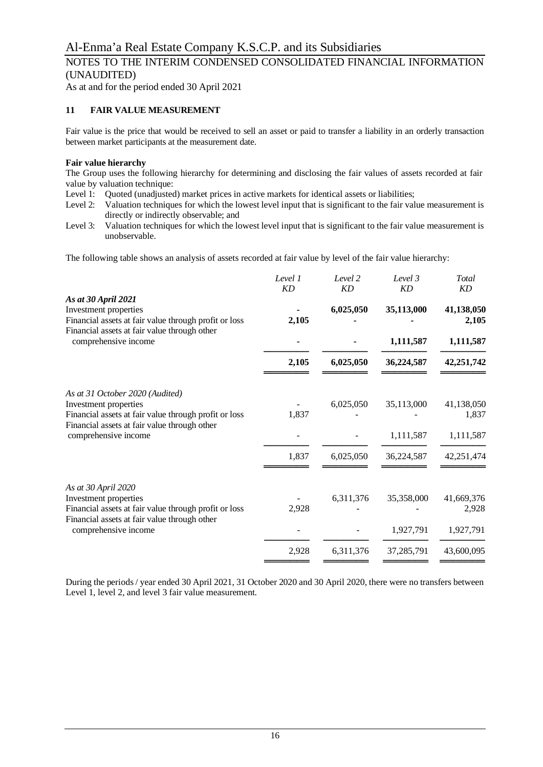### NOTES TO THE INTERIM CONDENSED CONSOLIDATED FINANCIAL INFORMATION (UNAUDITED)

As at and for the period ended 30 April 2021

### **11 FAIR VALUE MEASUREMENT**

Fair value is the price that would be received to sell an asset or paid to transfer a liability in an orderly transaction between market participants at the measurement date.

#### **Fair value hierarchy**

The Group uses the following hierarchy for determining and disclosing the fair values of assets recorded at fair value by valuation technique:

- Level 1: Quoted (unadjusted) market prices in active markets for identical assets or liabilities;
- Level 2: Valuation techniques for which the lowest level input that is significant to the fair value measurement is directly or indirectly observable; and
- Level 3: Valuation techniques for which the lowest level input that is significant to the fair value measurement is unobservable.

The following table shows an analysis of assets recorded at fair value by level of the fair value hierarchy:

|                                                                                                       | Level 1<br>KD | Level 2<br><b>KD</b> | Level 3<br>KD | Total<br>KD                      |  |
|-------------------------------------------------------------------------------------------------------|---------------|----------------------|---------------|----------------------------------|--|
| As at 30 April 2021<br>Investment properties<br>Financial assets at fair value through profit or loss | 2,105         | 6,025,050            | 35,113,000    | 41,138,050<br>2,105<br>1,111,587 |  |
| Financial assets at fair value through other<br>comprehensive income                                  |               |                      | 1,111,587     |                                  |  |
|                                                                                                       | 2,105         | 6,025,050            | 36,224,587    | 42,251,742                       |  |
| As at 31 October 2020 (Audited)                                                                       |               |                      |               |                                  |  |
| Investment properties                                                                                 |               | 6,025,050            | 35,113,000    | 41,138,050                       |  |
| Financial assets at fair value through profit or loss                                                 | 1,837         |                      |               | 1,837                            |  |
| Financial assets at fair value through other<br>comprehensive income                                  |               |                      | 1,111,587     | 1,111,587                        |  |
|                                                                                                       | 1,837         | 6,025,050            | 36,224,587    | 42,251,474                       |  |
| As at 30 April 2020                                                                                   |               |                      |               |                                  |  |
| Investment properties                                                                                 |               | 6,311,376            | 35,358,000    | 41,669,376                       |  |
| Financial assets at fair value through profit or loss                                                 | 2,928         |                      |               | 2,928                            |  |
| Financial assets at fair value through other<br>comprehensive income                                  |               |                      | 1,927,791     | 1,927,791                        |  |
|                                                                                                       | 2,928         | 6,311,376            | 37,285,791    | 43,600,095                       |  |
|                                                                                                       |               |                      |               |                                  |  |

During the periods / year ended 30 April 2021, 31 October 2020 and 30 April 2020, there were no transfers between Level 1, level 2, and level 3 fair value measurement.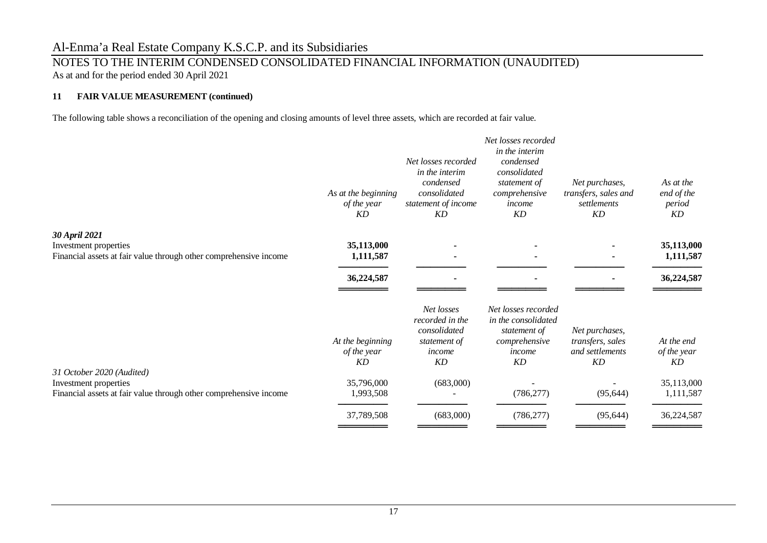### NOTES TO THE INTERIM CONDENSED CONSOLIDATED FINANCIAL INFORMATION (UNAUDITED) As at and for the period ended 30 April 2021

### **11 FAIR VALUE MEASUREMENT (continued)**

The following table shows a reconciliation of the opening and closing amounts of level three assets, which are recorded at fair value.

|                                                                                                                         | As at the beginning<br>of the year<br><b>KD</b> | Net losses recorded<br>in the interim<br>condensed<br>consolidated<br>statement of income<br>KD | Net losses recorded<br>in the interim<br>condensed<br>consolidated<br>statement of<br>comprehensive<br>income<br>KD | Net purchases,<br>transfers, sales and<br>settlements<br>KD        | As at the<br>end of the<br>period<br>KD |
|-------------------------------------------------------------------------------------------------------------------------|-------------------------------------------------|-------------------------------------------------------------------------------------------------|---------------------------------------------------------------------------------------------------------------------|--------------------------------------------------------------------|-----------------------------------------|
| 30 April 2021                                                                                                           |                                                 |                                                                                                 |                                                                                                                     |                                                                    |                                         |
| Investment properties<br>Financial assets at fair value through other comprehensive income                              | 35,113,000<br>1,111,587                         |                                                                                                 |                                                                                                                     |                                                                    | 35,113,000<br>1,111,587                 |
|                                                                                                                         | 36,224,587                                      |                                                                                                 |                                                                                                                     |                                                                    | 36,224,587                              |
|                                                                                                                         | At the beginning<br>of the year<br>KD           | Net losses<br>recorded in the<br>consolidated<br>statement of<br>income<br><b>KD</b>            | Net losses recorded<br>in the consolidated<br>statement of<br>comprehensive<br>income<br>KD                         | Net purchases,<br>transfers, sales<br>and settlements<br><b>KD</b> | At the end<br>of the year<br>KD         |
| 31 October 2020 (Audited)<br>Investment properties<br>Financial assets at fair value through other comprehensive income | 35,796,000<br>1,993,508                         | (683,000)                                                                                       | (786, 277)                                                                                                          | (95, 644)                                                          | 35,113,000<br>1,111,587                 |
|                                                                                                                         | 37,789,508                                      | (683,000)                                                                                       | (786, 277)                                                                                                          | (95, 644)                                                          | 36,224,587                              |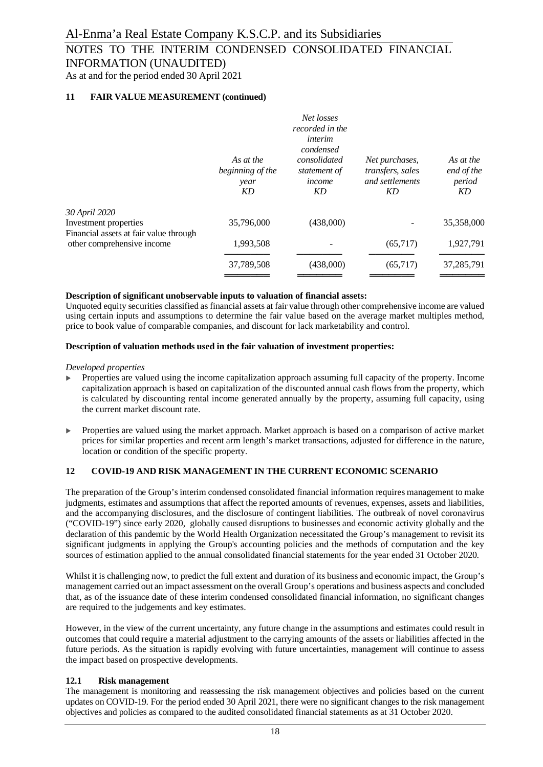As at and for the period ended 30 April 2021

### **11 FAIR VALUE MEASUREMENT (continued)**

|                                                                      | As at the<br>beginning of the<br>year<br>KD | Net losses<br>recorded in the<br>interim<br>condensed<br>consolidated<br>statement of<br>income<br>KD | Net purchases,<br>transfers, sales<br>and settlements<br>KD | As at the<br>end of the<br>period<br>KD |
|----------------------------------------------------------------------|---------------------------------------------|-------------------------------------------------------------------------------------------------------|-------------------------------------------------------------|-----------------------------------------|
| 30 April 2020<br>Investment properties                               | 35,796,000                                  | (438,000)                                                                                             |                                                             | 35,358,000                              |
| Financial assets at fair value through<br>other comprehensive income | 1,993,508                                   |                                                                                                       | (65,717)                                                    | 1,927,791                               |
|                                                                      | 37,789,508                                  | (438,000)                                                                                             | (65,717)                                                    | 37,285,791                              |
|                                                                      |                                             |                                                                                                       |                                                             |                                         |

#### **Description of significant unobservable inputs to valuation of financial assets:**

Unquoted equity securities classified as financial assets at fair value through other comprehensive income are valued using certain inputs and assumptions to determine the fair value based on the average market multiples method, price to book value of comparable companies, and discount for lack marketability and control.

#### **Description of valuation methods used in the fair valuation of investment properties:**

*Developed properties*

- $\triangleright$  Properties are valued using the income capitalization approach assuming full capacity of the property. Income capitalization approach is based on capitalization of the discounted annual cash flows from the property, which is calculated by discounting rental income generated annually by the property, assuming full capacity, using the current market discount rate.
- Properties are valued using the market approach. Market approach is based on a comparison of active market prices for similar properties and recent arm length's market transactions, adjusted for difference in the nature, location or condition of the specific property.

#### **12 COVID-19 AND RISK MANAGEMENT IN THE CURRENT ECONOMIC SCENARIO**

The preparation of the Group's interim condensed consolidated financial information requires management to make judgments, estimates and assumptions that affect the reported amounts of revenues, expenses, assets and liabilities, and the accompanying disclosures, and the disclosure of contingent liabilities. The outbreak of novel coronavirus ("COVID-19") since early 2020, globally caused disruptions to businesses and economic activity globally and the declaration of this pandemic by the World Health Organization necessitated the Group's management to revisit its significant judgments in applying the Group's accounting policies and the methods of computation and the key sources of estimation applied to the annual consolidated financial statements for the year ended 31 October 2020.

Whilst it is challenging now, to predict the full extent and duration of its business and economic impact, the Group's management carried out an impact assessment on the overall Group's operations and business aspects and concluded that, as of the issuance date of these interim condensed consolidated financial information, no significant changes are required to the judgements and key estimates.

However, in the view of the current uncertainty, any future change in the assumptions and estimates could result in outcomes that could require a material adjustment to the carrying amounts of the assets or liabilities affected in the future periods. As the situation is rapidly evolving with future uncertainties, management will continue to assess the impact based on prospective developments.

#### **12.1 Risk management**

The management is monitoring and reassessing the risk management objectives and policies based on the current updates on COVID-19. For the period ended 30 April 2021, there were no significant changes to the risk management objectives and policies as compared to the audited consolidated financial statements as at 31 October 2020.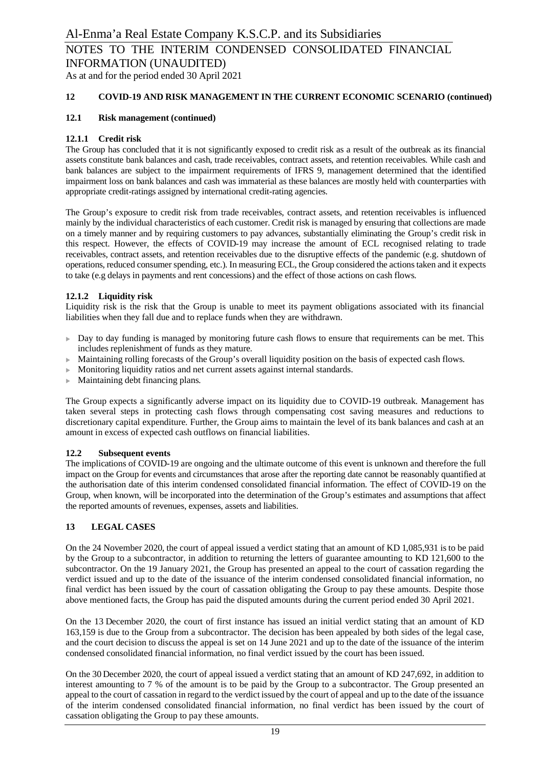As at and for the period ended 30 April 2021

### **12 COVID-19 AND RISK MANAGEMENT IN THE CURRENT ECONOMIC SCENARIO (continued)**

### **12.1 Risk management (continued)**

### **12.1.1 Credit risk**

The Group has concluded that it is not significantly exposed to credit risk as a result of the outbreak as its financial assets constitute bank balances and cash, trade receivables, contract assets, and retention receivables. While cash and bank balances are subject to the impairment requirements of IFRS 9, management determined that the identified impairment loss on bank balances and cash was immaterial as these balances are mostly held with counterparties with appropriate credit-ratings assigned by international credit-rating agencies.

The Group's exposure to credit risk from trade receivables, contract assets, and retention receivables is influenced mainly by the individual characteristics of each customer. Credit risk is managed by ensuring that collections are made on a timely manner and by requiring customers to pay advances, substantially eliminating the Group's credit risk in this respect. However, the effects of COVID-19 may increase the amount of ECL recognised relating to trade receivables, contract assets, and retention receivables due to the disruptive effects of the pandemic (e.g. shutdown of operations, reduced consumer spending, etc.). In measuring ECL, the Group considered the actions taken and it expects to take (e.g delays in payments and rent concessions) and the effect of those actions on cash flows.

### **12.1.2 Liquidity risk**

Liquidity risk is the risk that the Group is unable to meet its payment obligations associated with its financial liabilities when they fall due and to replace funds when they are withdrawn.

- $\triangleright$  Day to day funding is managed by monitoring future cash flows to ensure that requirements can be met. This includes replenishment of funds as they mature.
- <sup>u</sup> Maintaining rolling forecasts of the Group's overall liquidity position on the basis of expected cash flows.
- $\blacktriangleright$  Monitoring liquidity ratios and net current assets against internal standards.
- $\blacktriangleright$  Maintaining debt financing plans.

The Group expects a significantly adverse impact on its liquidity due to COVID-19 outbreak. Management has taken several steps in protecting cash flows through compensating cost saving measures and reductions to discretionary capital expenditure. Further, the Group aims to maintain the level of its bank balances and cash at an amount in excess of expected cash outflows on financial liabilities.

#### **12.2 Subsequent events**

The implications of COVID-19 are ongoing and the ultimate outcome of this event is unknown and therefore the full impact on the Group for events and circumstances that arose after the reporting date cannot be reasonably quantified at the authorisation date of this interim condensed consolidated financial information. The effect of COVID-19 on the Group, when known, will be incorporated into the determination of the Group's estimates and assumptions that affect the reported amounts of revenues, expenses, assets and liabilities.

### **13 LEGAL CASES**

On the 24 November 2020, the court of appeal issued a verdict stating that an amount of KD 1,085,931 is to be paid by the Group to a subcontractor, in addition to returning the letters of guarantee amounting to KD 121,600 to the subcontractor. On the 19 January 2021, the Group has presented an appeal to the court of cassation regarding the verdict issued and up to the date of the issuance of the interim condensed consolidated financial information, no final verdict has been issued by the court of cassation obligating the Group to pay these amounts. Despite those above mentioned facts, the Group has paid the disputed amounts during the current period ended 30 April 2021.

On the 13 December 2020, the court of first instance has issued an initial verdict stating that an amount of KD 163,159 is due to the Group from a subcontractor. The decision has been appealed by both sides of the legal case, and the court decision to discuss the appeal is set on 14 June 2021 and up to the date of the issuance of the interim condensed consolidated financial information, no final verdict issued by the court has been issued.

On the 30 December 2020, the court of appeal issued a verdict stating that an amount of KD 247,692, in addition to interest amounting to 7 % of the amount is to be paid by the Group to a subcontractor. The Group presented an appeal to the court of cassation in regard to the verdict issued by the court of appeal and up to the date of the issuance of the interim condensed consolidated financial information, no final verdict has been issued by the court of cassation obligating the Group to pay these amounts.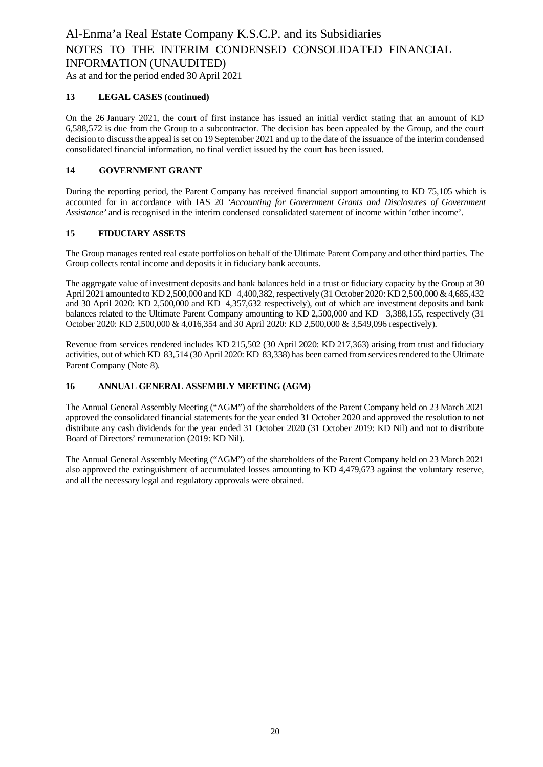As at and for the period ended 30 April 2021

### **13 LEGAL CASES (continued)**

On the 26 January 2021, the court of first instance has issued an initial verdict stating that an amount of KD 6,588,572 is due from the Group to a subcontractor. The decision has been appealed by the Group, and the court decision to discuss the appeal is set on 19 September 2021 and up to the date of the issuance of the interim condensed consolidated financial information, no final verdict issued by the court has been issued.

### **14 GOVERNMENT GRANT**

During the reporting period, the Parent Company has received financial support amounting to KD 75,105 which is accounted for in accordance with IAS 20 *'Accounting for Government Grants and Disclosures of Government Assistance'* and is recognised in the interim condensed consolidated statement of income within 'other income'.

### **15 FIDUCIARY ASSETS**

The Group manages rented real estate portfolios on behalf of the Ultimate Parent Company and other third parties. The Group collects rental income and deposits it in fiduciary bank accounts.

The aggregate value of investment deposits and bank balances held in a trust or fiduciary capacity by the Group at 30 April 2021 amounted to KD 2,500,000 and KD 4,400,382, respectively (31 October 2020: KD 2,500,000 & 4,685,432 and 30 April 2020: KD 2,500,000 and KD 4,357,632 respectively), out of which are investment deposits and bank balances related to the Ultimate Parent Company amounting to KD 2,500,000 and KD 3,388,155, respectively (31 October 2020: KD 2,500,000 & 4,016,354 and 30 April 2020: KD 2,500,000 & 3,549,096 respectively).

Revenue from services rendered includes KD 215,502 (30 April 2020: KD 217,363) arising from trust and fiduciary activities, out of which KD 83,514 (30 April 2020: KD 83,338) has been earned from services rendered to the Ultimate Parent Company (Note 8).

### **16 ANNUAL GENERAL ASSEMBLY MEETING (AGM)**

The Annual General Assembly Meeting ("AGM") of the shareholders of the Parent Company held on 23 March 2021 approved the consolidated financial statements for the year ended 31 October 2020 and approved the resolution to not distribute any cash dividends for the year ended 31 October 2020 (31 October 2019: KD Nil) and not to distribute Board of Directors' remuneration (2019: KD Nil).

The Annual General Assembly Meeting ("AGM") of the shareholders of the Parent Company held on 23 March 2021 also approved the extinguishment of accumulated losses amounting to KD 4,479,673 against the voluntary reserve, and all the necessary legal and regulatory approvals were obtained.